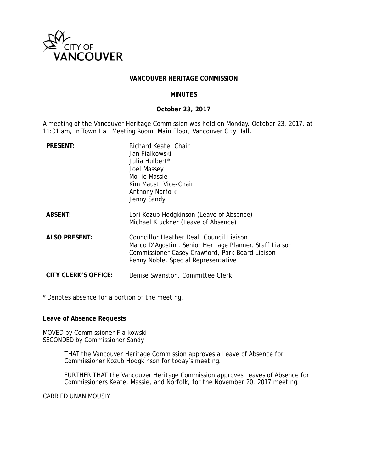

#### **VANCOUVER HERITAGE COMMISSION**

#### **MINUTES**

#### **October 23, 2017**

A meeting of the Vancouver Heritage Commission was held on Monday, October 23, 2017, at 11:01 am, in Town Hall Meeting Room, Main Floor, Vancouver City Hall.

| <b>PRESENT:</b>      | Richard Keate, Chair<br>Jan Fialkowski<br>Julia Hulbert*<br>Joel Massey<br>Mollie Massie<br>Kim Maust, Vice-Chair<br><b>Anthony Norfolk</b><br>Jenny Sandy                                     |
|----------------------|------------------------------------------------------------------------------------------------------------------------------------------------------------------------------------------------|
| <b>ABSENT:</b>       | Lori Kozub Hodgkinson (Leave of Absence)<br>Michael Kluckner (Leave of Absence)                                                                                                                |
| <b>ALSO PRESENT:</b> | Councillor Heather Deal, Council Liaison<br>Marco D'Agostini, Senior Heritage Planner, Staff Liaison<br>Commissioner Casey Crawford, Park Board Liaison<br>Penny Noble, Special Representative |
| CITY CLERK'S OFFICE: | Denise Swanston, Committee Clerk                                                                                                                                                               |

\* Denotes absence for a portion of the meeting.

**Leave of Absence Requests** 

MOVED by Commissioner Fialkowski SECONDED by Commissioner Sandy

> THAT the Vancouver Heritage Commission approves a Leave of Absence for Commissioner Kozub Hodgkinson for today's meeting.

FURTHER THAT the Vancouver Heritage Commission approves Leaves of Absence for Commissioners Keate, Massie, and Norfolk, for the November 20, 2017 meeting.

CARRIED UNANIMOUSLY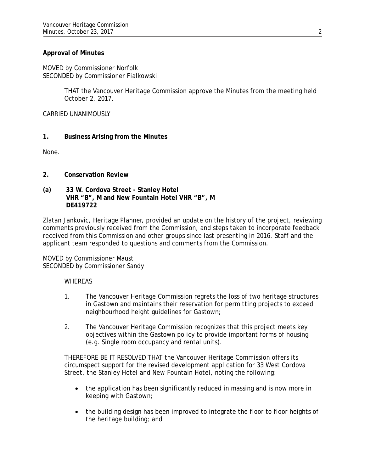# **Approval of Minutes**

MOVED by Commissioner Norfolk SECONDED by Commissioner Fialkowski

> THAT the Vancouver Heritage Commission approve the Minutes from the meeting held October 2, 2017.

CARRIED UNANIMOUSLY

# **1. Business Arising from the Minutes**

None.

- **2. Conservation Review**
- **(a) 33 W. Cordova Street Stanley Hotel VHR "B", M and New Fountain Hotel VHR "B", M DE419722**

Zlatan Jankovic, Heritage Planner, provided an update on the history of the project, reviewing comments previously received from the Commission, and steps taken to incorporate feedback received from this Commission and other groups since last presenting in 2016. Staff and the applicant team responded to questions and comments from the Commission.

MOVED by Commissioner Maust SECONDED by Commissioner Sandy

# WHEREAS

- 1. The Vancouver Heritage Commission regrets the loss of two heritage structures in Gastown and maintains their reservation for permitting projects to exceed neighbourhood height guidelines for Gastown;
- 2. The Vancouver Heritage Commission recognizes that this project meets key objectives within the Gastown policy to provide important forms of housing (e.g. Single room occupancy and rental units).

THEREFORE BE IT RESOLVED THAT the Vancouver Heritage Commission offers its circumspect support for the revised development application for 33 West Cordova Street, the Stanley Hotel and New Fountain Hotel, noting the following:

- the application has been significantly reduced in massing and is now more in keeping with Gastown;
- the building design has been improved to integrate the floor to floor heights of the heritage building; and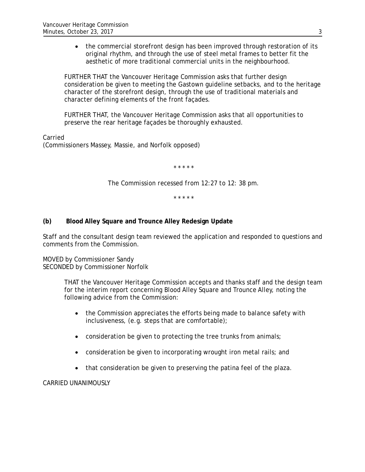the commercial storefront design has been improved through restoration of its original rhythm, and through the use of steel metal frames to better fit the aesthetic of more traditional commercial units in the neighbourhood.

FURTHER THAT the Vancouver Heritage Commission asks that further design consideration be given to meeting the Gastown guideline setbacks, and to the heritage character of the storefront design, through the use of traditional materials and character defining elements of the front façades.

FURTHER THAT, the Vancouver Heritage Commission asks that all opportunities to preserve the rear heritage façades be thoroughly exhausted.

Carried (Commissioners Massey, Massie, and Norfolk opposed)

*\* \* \* \* \** 

*The Commission recessed from 12:27 to 12: 38 pm.* 

*\* \* \* \* \** 

# **(b) Blood Alley Square and Trounce Alley Redesign Update**

Staff and the consultant design team reviewed the application and responded to questions and comments from the Commission.

MOVED by Commissioner Sandy SECONDED by Commissioner Norfolk

> THAT the Vancouver Heritage Commission accepts and thanks staff and the design team for the interim report concerning Blood Alley Square and Trounce Alley, noting the following advice from the Commission:

- the Commission appreciates the efforts being made to balance safety with inclusiveness, (e.g. steps that are comfortable);
- consideration be given to protecting the tree trunks from animals;
- consideration be given to incorporating wrought iron metal rails; and
- that consideration be given to preserving the patina feel of the plaza.

CARRIED UNANIMOUSLY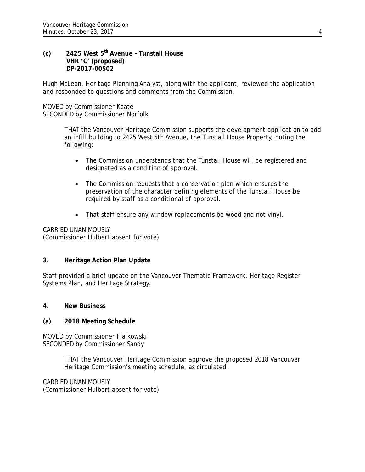### **(c) 2425 West 5th Avenue – Tunstall House VHR 'C' (proposed) DP-2017-00502**

Hugh McLean, Heritage Planning Analyst, along with the applicant, reviewed the application and responded to questions and comments from the Commission.

### MOVED by Commissioner Keate SECONDED by Commissioner Norfolk

THAT the Vancouver Heritage Commission supports the development application to add an infill building to 2425 West 5th Avenue, the Tunstall House Property, noting the following:

- The Commission understands that the Tunstall House will be registered and designated as a condition of approval.
- The Commission requests that a conservation plan which ensures the preservation of the character defining elements of the Tunstall House be required by staff as a conditional of approval.
- That staff ensure any window replacements be wood and not vinyl.

CARRIED UNANIMOUSLY (Commissioner Hulbert absent for vote)

# **3. Heritage Action Plan Update**

Staff provided a brief update on the Vancouver Thematic Framework, Heritage Register Systems Plan, and Heritage Strategy.

# **4. New Business**

# **(a) 2018 Meeting Schedule**

MOVED by Commissioner Fialkowski SECONDED by Commissioner Sandy

> THAT the Vancouver Heritage Commission approve the proposed 2018 Vancouver Heritage Commission's meeting schedule, as circulated.

CARRIED UNANIMOUSLY (Commissioner Hulbert absent for vote)